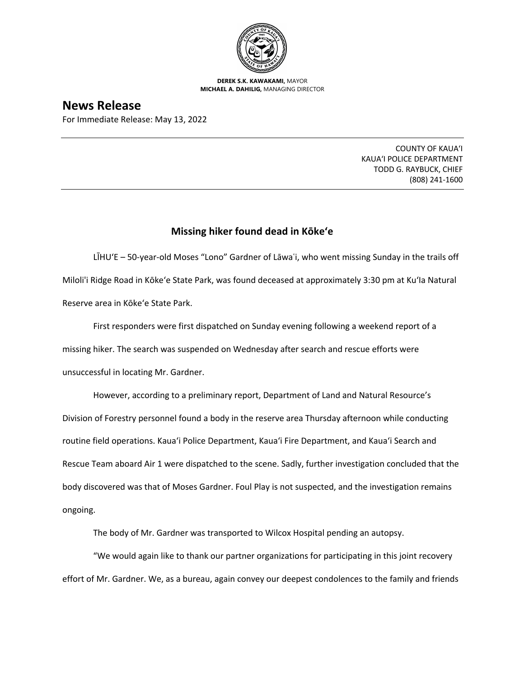

**DEREK S.K. KAWAKAMI,** MAYOR **MICHAEL A. DAHILIG,** MANAGING DIRECTOR

## **News Release**

For Immediate Release: May 13, 2022

COUNTY OF KAUA'I KAUA'I POLICE DEPARTMENT TODD G. RAYBUCK, CHIEF (808) 241-1600

## **Missing hiker found dead in Kōke'e**

LĪHU'E – 50-year-old Moses "Lono" Gardner of Lāwaʿi, who went missing Sunday in the trails off Miloli'i Ridge Road in Kōke'e State Park, was found deceased at approximately 3:30 pm at Ku'Ia Natural Reserve area in Kōke'e State Park.

First responders were first dispatched on Sunday evening following a weekend report of a missing hiker. The search was suspended on Wednesday after search and rescue efforts were unsuccessful in locating Mr. Gardner.

However, according to a preliminary report, Department of Land and Natural Resource's Division of Forestry personnel found a body in the reserve area Thursday afternoon while conducting routine field operations. Kaua'i Police Department, Kaua'i Fire Department, and Kaua'i Search and Rescue Team aboard Air 1 were dispatched to the scene. Sadly, further investigation concluded that the body discovered was that of Moses Gardner. Foul Play is not suspected, and the investigation remains ongoing.

The body of Mr. Gardner was transported to Wilcox Hospital pending an autopsy.

"We would again like to thank our partner organizations for participating in this joint recovery effort of Mr. Gardner. We, as a bureau, again convey our deepest condolences to the family and friends